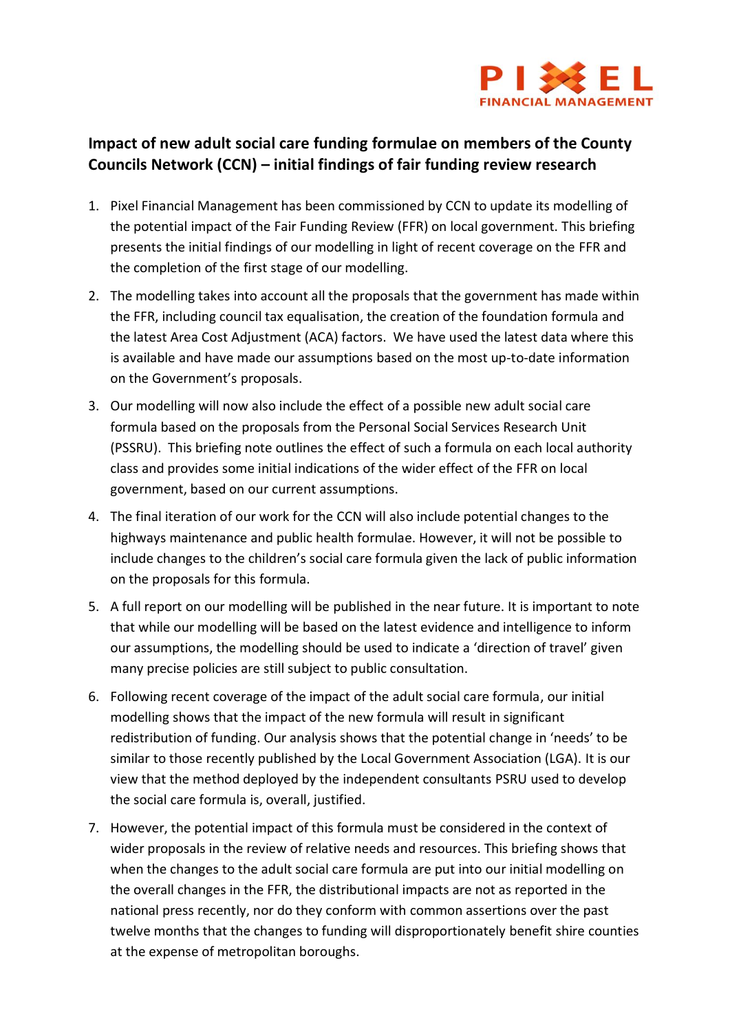

# **Impact of new adult social care funding formulae on members of the County Councils Network (CCN) – initial findings of fair funding review research**

- 1. Pixel Financial Management has been commissioned by CCN to update its modelling of the potential impact of the Fair Funding Review (FFR) on local government. This briefing presents the initial findings of our modelling in light of recent coverage on the FFR and the completion of the first stage of our modelling.
- 2. The modelling takes into account all the proposals that the government has made within the FFR, including council tax equalisation, the creation of the foundation formula and the latest Area Cost Adjustment (ACA) factors. We have used the latest data where this is available and have made our assumptions based on the most up-to-date information on the Government's proposals.
- 3. Our modelling will now also include the effect of a possible new adult social care formula based on the proposals from the Personal Social Services Research Unit (PSSRU). This briefing note outlines the effect of such a formula on each local authority class and provides some initial indications of the wider effect of the FFR on local government, based on our current assumptions.
- 4. The final iteration of our work for the CCN will also include potential changes to the highways maintenance and public health formulae. However, it will not be possible to include changes to the children's social care formula given the lack of public information on the proposals for this formula.
- 5. A full report on our modelling will be published in the near future. It is important to note that while our modelling will be based on the latest evidence and intelligence to inform our assumptions, the modelling should be used to indicate a 'direction of travel' given many precise policies are still subject to public consultation.
- 6. Following recent coverage of the impact of the adult social care formula, our initial modelling shows that the impact of the new formula will result in significant redistribution of funding. Our analysis shows that the potential change in 'needs' to be similar to those recently published by the Local Government Association (LGA). It is our view that the method deployed by the independent consultants PSRU used to develop the social care formula is, overall, justified.
- 7. However, the potential impact of this formula must be considered in the context of wider proposals in the review of relative needs and resources. This briefing shows that when the changes to the adult social care formula are put into our initial modelling on the overall changes in the FFR, the distributional impacts are not as reported in the national press recently, nor do they conform with common assertions over the past twelve months that the changes to funding will disproportionately benefit shire counties at the expense of metropolitan boroughs.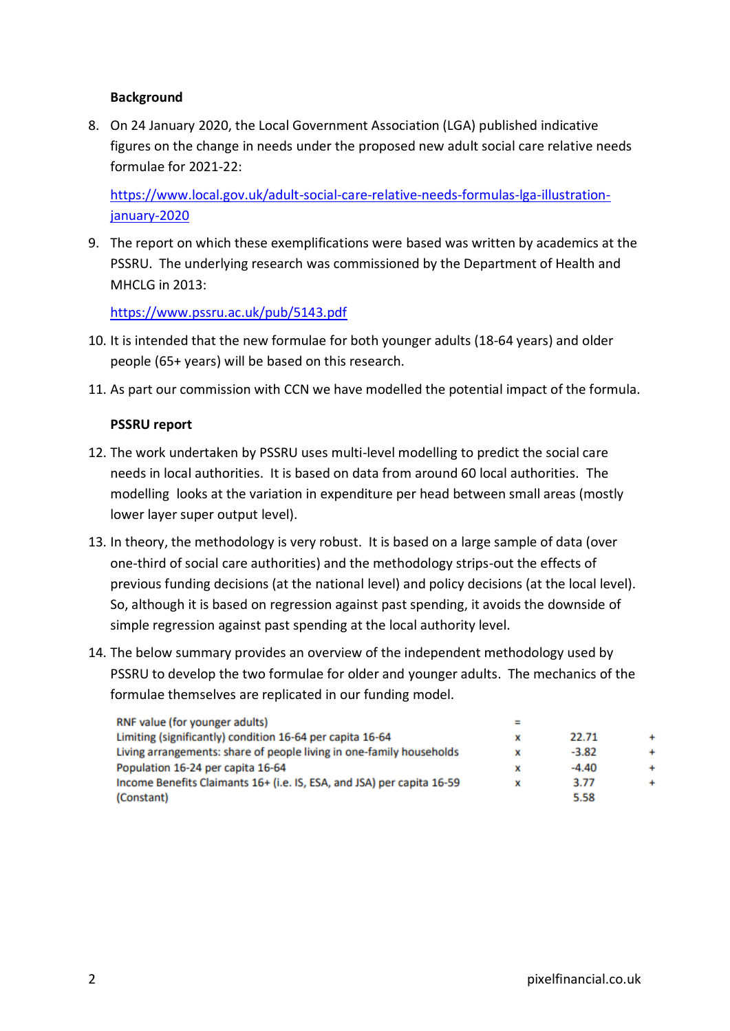### **Background**

8. On 24 January 2020, the Local Government Association (LGA) published indicative figures on the change in needs under the proposed new adult social care relative needs formulae for 2021-22:

[https://www.local.gov.uk/adult-social-care-relative-needs-formulas-lga-illustration](https://www.local.gov.uk/adult-social-care-relative-needs-formulas-lga-illustration-january-2020)[january-2020](https://www.local.gov.uk/adult-social-care-relative-needs-formulas-lga-illustration-january-2020)

9. The report on which these exemplifications were based was written by academics at the PSSRU. The underlying research was commissioned by the Department of Health and MHCLG in 2013:

<https://www.pssru.ac.uk/pub/5143.pdf>

- 10. It is intended that the new formulae for both younger adults (18-64 years) and older people (65+ years) will be based on this research.
- 11. As part our commission with CCN we have modelled the potential impact of the formula.

#### **PSSRU report**

- 12. The work undertaken by PSSRU uses multi-level modelling to predict the social care needs in local authorities. It is based on data from around 60 local authorities. The modelling looks at the variation in expenditure per head between small areas (mostly lower layer super output level).
- 13. In theory, the methodology is very robust. It is based on a large sample of data (over one-third of social care authorities) and the methodology strips-out the effects of previous funding decisions (at the national level) and policy decisions (at the local level). So, although it is based on regression against past spending, it avoids the downside of simple regression against past spending at the local authority level.
- 14. The below summary provides an overview of the independent methodology used by PSSRU to develop the two formulae for older and younger adults. The mechanics of the formulae themselves are replicated in our funding model.

| RNF value (for younger adults)                                         |   |         |           |
|------------------------------------------------------------------------|---|---------|-----------|
| Limiting (significantly) condition 16-64 per capita 16-64              | x | 22.71   |           |
| Living arrangements: share of people living in one-family households   | x | $-3.82$ | $\ddot{}$ |
| Population 16-24 per capita 16-64                                      | x | $-4.40$ | $\ddot{}$ |
| Income Benefits Claimants 16+ (i.e. IS, ESA, and JSA) per capita 16-59 | x | 3.77    | $\ddot{}$ |
| (Constant)                                                             |   | 5.58    |           |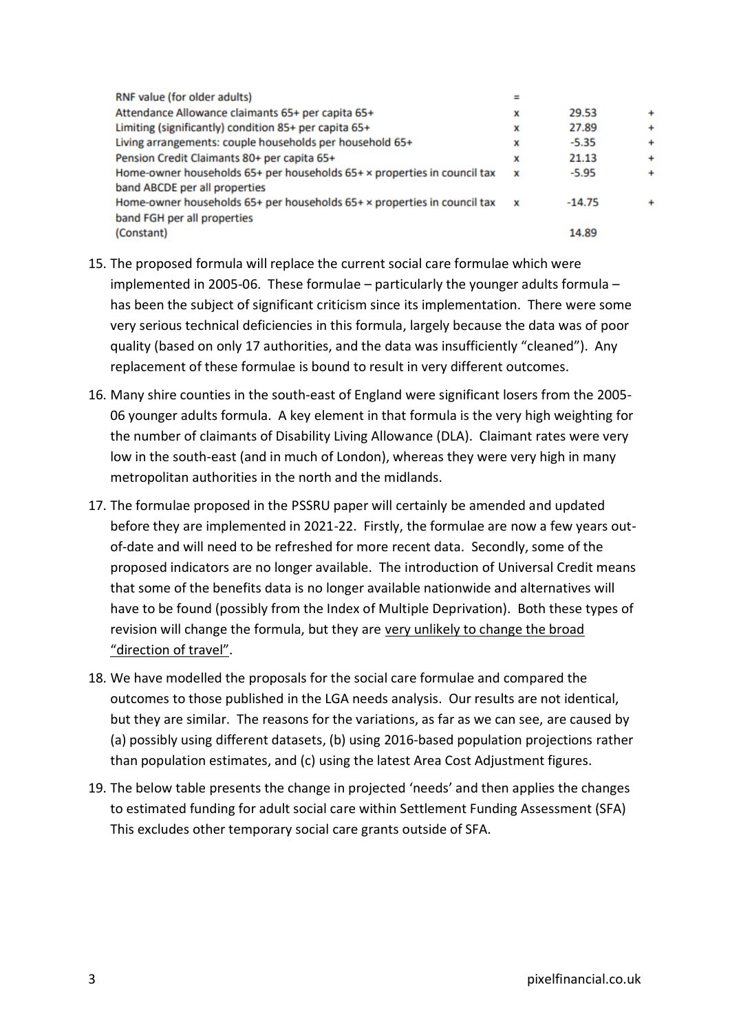| RNF value (for older adults)                                             | ≕ |          |           |
|--------------------------------------------------------------------------|---|----------|-----------|
| Attendance Allowance claimants 65+ per capita 65+                        | x | 29.53    | $\ddot{}$ |
| Limiting (significantly) condition 85+ per capita 65+                    | × | 27.89    | $\ddot{}$ |
| Living arrangements: couple households per household 65+                 | x | $-5.35$  | $\ddot{}$ |
| Pension Credit Claimants 80+ per capita 65+                              | x | 21.13    | $\ddot{}$ |
| Home-owner households 65+ per households 65+ x properties in council tax | × | $-5.95$  | $\ddot{}$ |
| band ABCDE per all properties                                            |   |          |           |
| Home-owner households 65+ per households 65+ x properties in council tax | x | $-14.75$ | $\ddot{}$ |
| band FGH per all properties                                              |   |          |           |
| (Constant)                                                               |   | 14.89    |           |

- 15. The proposed formula will replace the current social care formulae which were implemented in 2005-06. These formulae  $-$  particularly the younger adults formula  $$ has been the subject of significant criticism since its implementation. There were some very serious technical deficiencies in this formula, largely because the data was of poor quality (based on only 17 authorities, and the data was insufficiently "cleaned"). Any replacement of these formulae is bound to result in very different outcomes.
- 16. Many shire counties in the south-east of England were significant losers from the 2005- 06 younger adults formula. A key element in that formula is the very high weighting for the number of claimants of Disability Living Allowance (DLA). Claimant rates were very low in the south-east (and in much of London), whereas they were very high in many metropolitan authorities in the north and the midlands.
- 17. The formulae proposed in the PSSRU paper will certainly be amended and updated before they are implemented in 2021-22. Firstly, the formulae are now a few years outof-date and will need to be refreshed for more recent data. Secondly, some of the proposed indicators are no longer available. The introduction of Universal Credit means that some of the benefits data is no longer available nationwide and alternatives will have to be found (possibly from the Index of Multiple Deprivation). Both these types of revision will change the formula, but they are very unlikely to change the broad "direction of travel".
- 18. We have modelled the proposals for the social care formulae and compared the outcomes to those published in the LGA needs analysis. Our results are not identical, but they are similar. The reasons for the variations, as far as we can see, are caused by (a) possibly using different datasets, (b) using 2016-based population projections rather than population estimates, and (c) using the latest Area Cost Adjustment figures.
- 19. The below table presents the change in projected 'needs' and then applies the changes to estimated funding for adult social care within Settlement Funding Assessment (SFA) This excludes other temporary social care grants outside of SFA.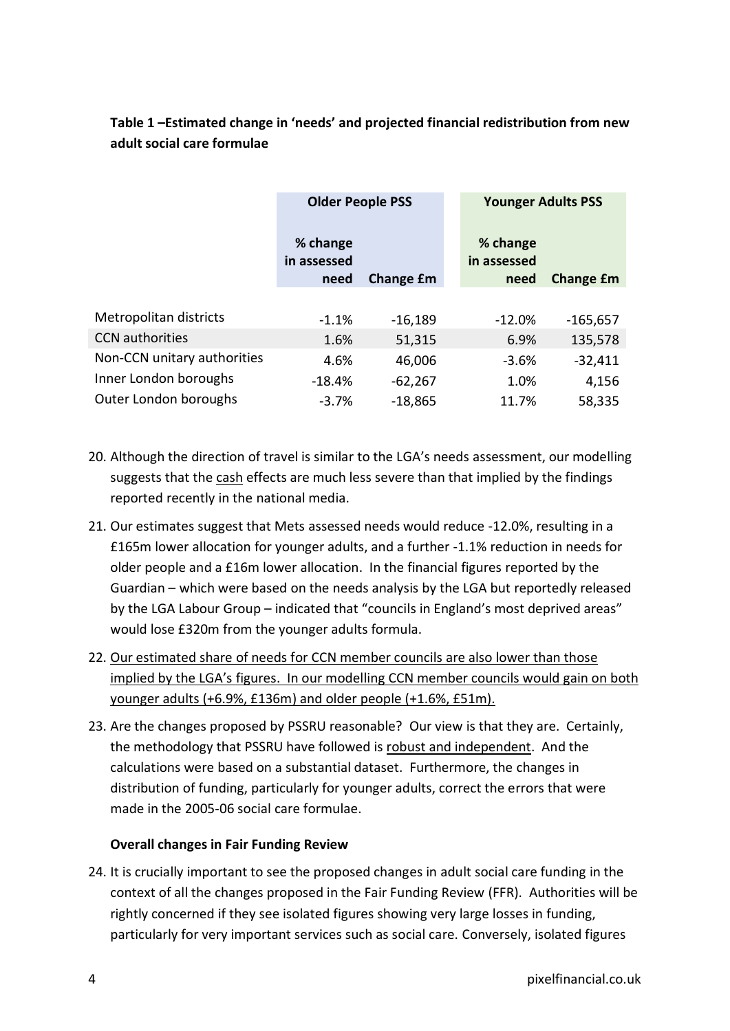## **Table 1 –Estimated change in 'needs' and projected financial redistribution from new adult social care formulae**

|                             | <b>Older People PSS</b>         |           | <b>Younger Adults PSS</b>       |                  |
|-----------------------------|---------------------------------|-----------|---------------------------------|------------------|
|                             | % change<br>in assessed<br>need | Change £m | % change<br>in assessed<br>need | <b>Change £m</b> |
|                             |                                 |           |                                 |                  |
| Metropolitan districts      | $-1.1%$                         | $-16,189$ | $-12.0%$                        | $-165,657$       |
| <b>CCN</b> authorities      | 1.6%                            | 51,315    | 6.9%                            | 135,578          |
| Non-CCN unitary authorities | 4.6%                            | 46,006    | $-3.6%$                         | $-32,411$        |
| Inner London boroughs       | $-18.4%$                        | $-62,267$ | 1.0%                            | 4,156            |
| Outer London boroughs       | $-3.7%$                         | $-18,865$ | 11.7%                           | 58,335           |

- 20. Although the direction of travel is similar to the LGA's needs assessment, our modelling suggests that the cash effects are much less severe than that implied by the findings reported recently in the national media.
- 21. Our estimates suggest that Mets assessed needs would reduce -12.0%, resulting in a £165m lower allocation for younger adults, and a further -1.1% reduction in needs for older people and a £16m lower allocation. In the financial figures reported by the Guardian – which were based on the needs analysis by the LGA but reportedly released by the LGA Labour Group – indicated that "councils in England's most deprived areas" would lose £320m from the younger adults formula.
- 22. Our estimated share of needs for CCN member councils are also lower than those implied by the LGA's figures. In our modelling CCN member councils would gain on both younger adults (+6.9%, £136m) and older people (+1.6%, £51m).
- 23. Are the changes proposed by PSSRU reasonable? Our view is that they are. Certainly, the methodology that PSSRU have followed is robust and independent. And the calculations were based on a substantial dataset. Furthermore, the changes in distribution of funding, particularly for younger adults, correct the errors that were made in the 2005-06 social care formulae.

## **Overall changes in Fair Funding Review**

24. It is crucially important to see the proposed changes in adult social care funding in the context of all the changes proposed in the Fair Funding Review (FFR). Authorities will be rightly concerned if they see isolated figures showing very large losses in funding, particularly for very important services such as social care. Conversely, isolated figures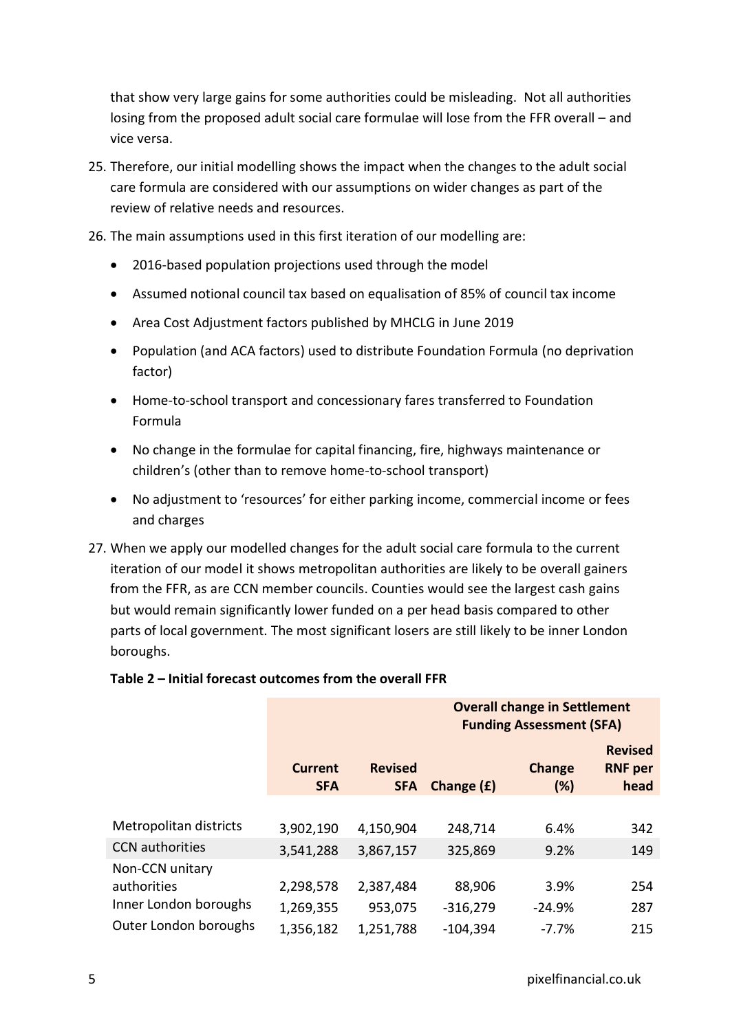that show very large gains for some authorities could be misleading. Not all authorities losing from the proposed adult social care formulae will lose from the FFR overall – and vice versa.

- 25. Therefore, our initial modelling shows the impact when the changes to the adult social care formula are considered with our assumptions on wider changes as part of the review of relative needs and resources.
- 26. The main assumptions used in this first iteration of our modelling are:
	- 2016-based population projections used through the model
	- Assumed notional council tax based on equalisation of 85% of council tax income
	- Area Cost Adjustment factors published by MHCLG in June 2019
	- Population (and ACA factors) used to distribute Foundation Formula (no deprivation factor)
	- Home-to-school transport and concessionary fares transferred to Foundation Formula
	- No change in the formulae for capital financing, fire, highways maintenance or children's (other than to remove home-to-school transport)
	- No adjustment to 'resources' for either parking income, commercial income or fees and charges
- 27. When we apply our modelled changes for the adult social care formula to the current iteration of our model it shows metropolitan authorities are likely to be overall gainers from the FFR, as are CCN member councils. Counties would see the largest cash gains but would remain significantly lower funded on a per head basis compared to other parts of local government. The most significant losers are still likely to be inner London boroughs.

# **Table 2 – Initial forecast outcomes from the overall FFR**

|                        |                              |                              | <b>Funding Assessment (SFA)</b> |               |                                          |  |
|------------------------|------------------------------|------------------------------|---------------------------------|---------------|------------------------------------------|--|
|                        | <b>Current</b><br><b>SFA</b> | <b>Revised</b><br><b>SFA</b> | Change $(f)$                    | Change<br>(%) | <b>Revised</b><br><b>RNF per</b><br>head |  |
|                        |                              |                              |                                 |               |                                          |  |
| Metropolitan districts | 3,902,190                    | 4,150,904                    | 248,714                         | 6.4%          | 342                                      |  |
| <b>CCN</b> authorities | 3,541,288                    | 3,867,157                    | 325,869                         | 9.2%          | 149                                      |  |
| Non-CCN unitary        |                              |                              |                                 |               |                                          |  |
| authorities            | 2,298,578                    | 2,387,484                    | 88,906                          | 3.9%          | 254                                      |  |
| Inner London boroughs  | 1,269,355                    | 953,075                      | $-316,279$                      | $-24.9%$      | 287                                      |  |
| Outer London boroughs  | 1,356,182                    | 1,251,788                    | $-104,394$                      | $-7.7%$       | 215                                      |  |

**Overall change in Settlement**